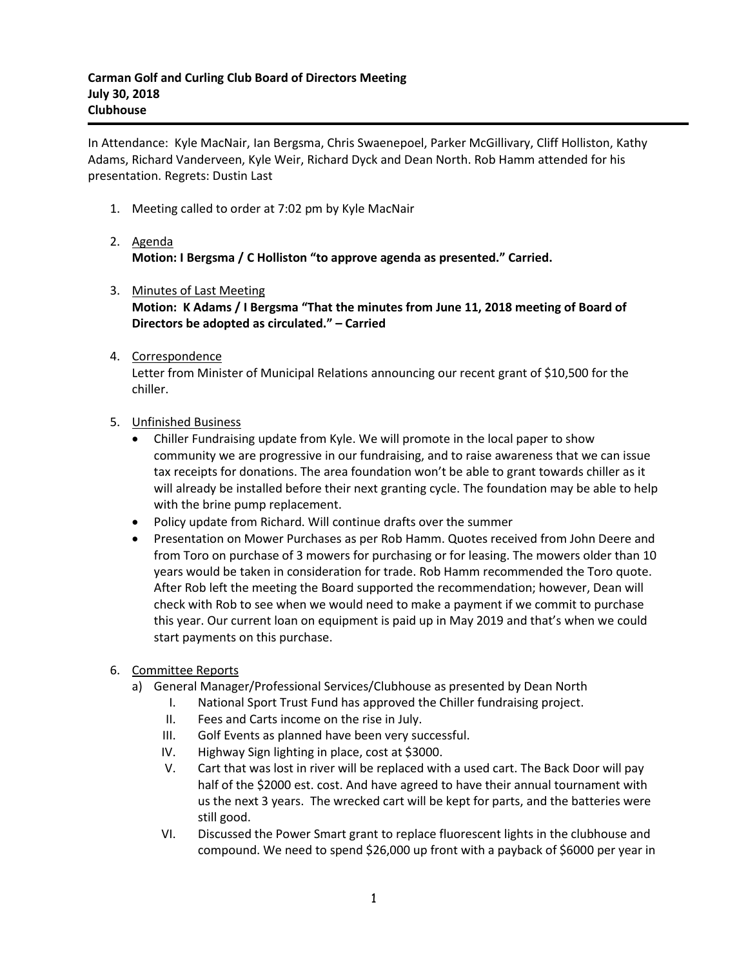In Attendance: Kyle MacNair, Ian Bergsma, Chris Swaenepoel, Parker McGillivary, Cliff Holliston, Kathy Adams, Richard Vanderveen, Kyle Weir, Richard Dyck and Dean North. Rob Hamm attended for his presentation. Regrets: Dustin Last

- 1. Meeting called to order at 7:02 pm by Kyle MacNair
- 2. Agenda **Motion: I Bergsma / C Holliston "to approve agenda as presented." Carried.**
- 3. Minutes of Last Meeting
	- **Motion: K Adams / I Bergsma "That the minutes from June 11, 2018 meeting of Board of Directors be adopted as circulated." – Carried**
- 4. Correspondence

Letter from Minister of Municipal Relations announcing our recent grant of \$10,500 for the chiller.

- 5. Unfinished Business
	- Chiller Fundraising update from Kyle. We will promote in the local paper to show community we are progressive in our fundraising, and to raise awareness that we can issue tax receipts for donations. The area foundation won't be able to grant towards chiller as it will already be installed before their next granting cycle. The foundation may be able to help with the brine pump replacement.
	- Policy update from Richard. Will continue drafts over the summer
	- Presentation on Mower Purchases as per Rob Hamm. Quotes received from John Deere and from Toro on purchase of 3 mowers for purchasing or for leasing. The mowers older than 10 years would be taken in consideration for trade. Rob Hamm recommended the Toro quote. After Rob left the meeting the Board supported the recommendation; however, Dean will check with Rob to see when we would need to make a payment if we commit to purchase this year. Our current loan on equipment is paid up in May 2019 and that's when we could start payments on this purchase.
- 6. Committee Reports
	- a) General Manager/Professional Services/Clubhouse as presented by Dean North
		- I. National Sport Trust Fund has approved the Chiller fundraising project.
			- II. Fees and Carts income on the rise in July.
		- III. Golf Events as planned have been very successful.
		- IV. Highway Sign lighting in place, cost at \$3000.
		- V. Cart that was lost in river will be replaced with a used cart. The Back Door will pay half of the \$2000 est. cost. And have agreed to have their annual tournament with us the next 3 years. The wrecked cart will be kept for parts, and the batteries were still good.
		- VI. Discussed the Power Smart grant to replace fluorescent lights in the clubhouse and compound. We need to spend \$26,000 up front with a payback of \$6000 per year in